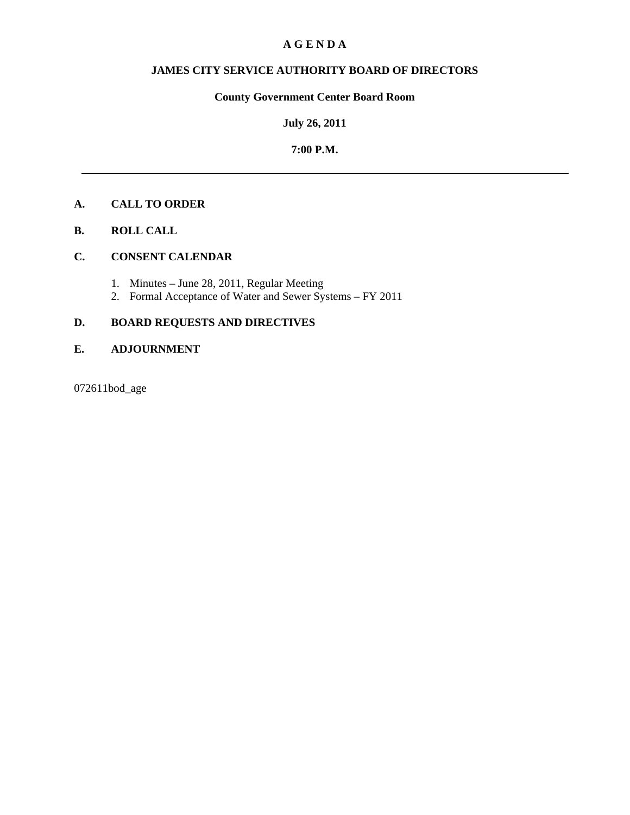# **A G E N D A**

# **JAMES CITY SERVICE AUTHORITY BOARD OF DIRECTORS**

# **County Government Center Board Room**

# **July 26, 2011**

## **7:00 P.M.**

# **A. CALL TO ORDER**

**B. ROLL CALL**

# **C. CONSENT CALENDAR**

- 1. Minutes June 28, 2011, Regular Meeting
- 2. Formal Acceptance of Water and Sewer Systems FY 2011

# **D. BOARD REQUESTS AND DIRECTIVES**

# **E. ADJOURNMENT**

072611bod\_age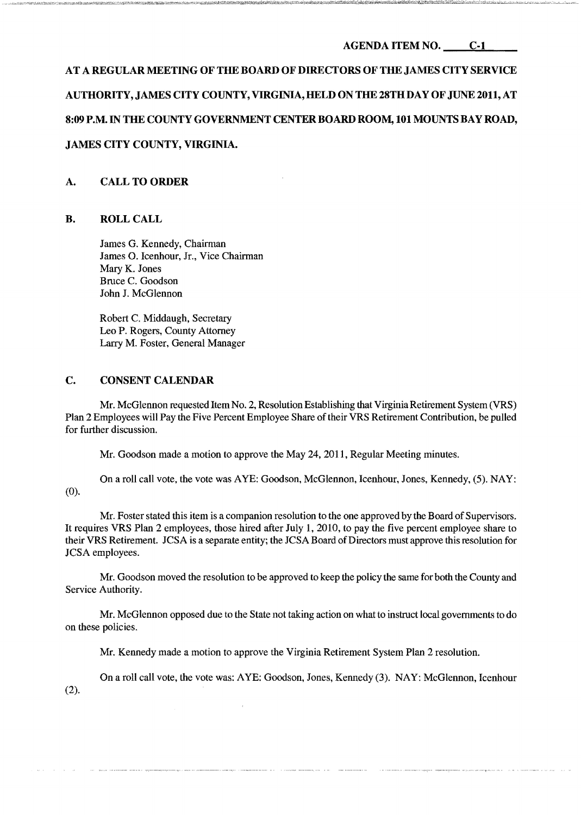# AGENDA ITEM NO. C-I

# AT A REGULAR MEETING OF THE BOARD OF DIRECTORS OF THE JAMES CITY SERVICE

# AUTHORITY, JAMES CITY COUNTY, VIRGINIA,HELD ON THE 28TH DAY OF JUNE 2011, AT

# 8:09 P.M. IN THE COUNTY GOVERNMENT CENTER BOARD ROOM, 101 MOUNTS BAY ROAD,

# JAMES CITY COUNTY, VIRGINIA.

# A. CALL TO ORDER

## B. ROLLCALL

James G. Kennedy, Chairman James O. Icenhour, Jr., Vice Chairman Mary K. Jones Bruce C. Goodson John J. McGlennon

Robert C. Middaugh, Secretary Leo P. Rogers, County Attorney Larry M. Foster, General Manager

## C. CONSENT CALENDAR

Mr. McGlennon requested Item No.2, Resolution Establishing that Virginia Retirement System (VRS) Plan 2 Employees will Pay the Five Percent Employee Share of their VRS Retirement Contribution, be pulled for further discussion.

Mr. Goodson made a motion to approve the May 24,2011, Regular Meeting minutes.

On a roll call vote, the vote was AYE: Goodson, McGlennon, Icenhour, Jones, Kennedy, (5). NAY: (0).

Mr. Foster stated this item is a companion resolution to the one approved by the Board of Supervisors. It requires VRS Plan 2 employees, those hired after July 1, 2010, to pay the five percent employee share to their VRS Retirement. JCSA is a separate entity; the JCSA Board ofDirectors must approve this resolution for JCSA employees.

Mr. Goodson moved the resolution to be approved to keep the policy the same for both the County and Service Authority.

Mr. McGlennon opposed due to the State not taking action on what to instruct local governments to do on these policies.

Mr. Kennedy made a motion to approve the Virginia Retirement System Plan 2 resolution.

On a roll call vote, the vote was: AYE: Goodson, Jones, Kennedy (3). NAY: McGlennon, Icenhour (2).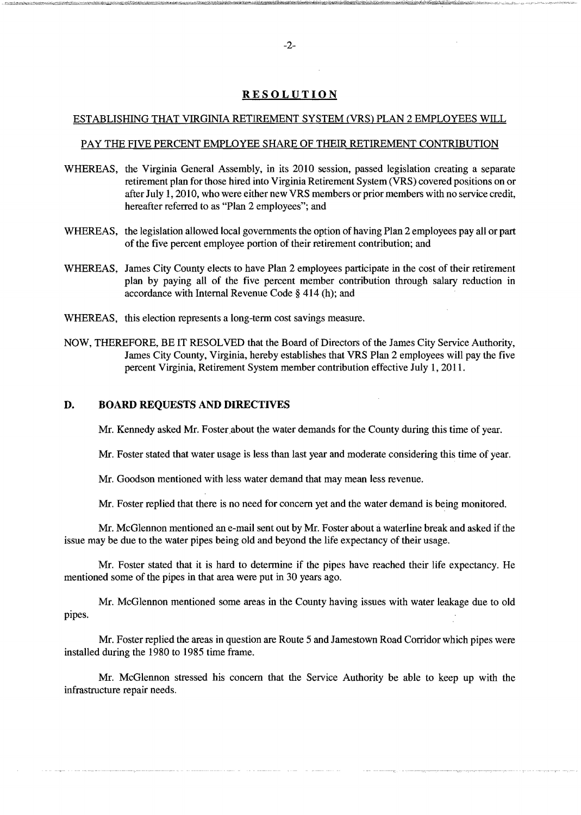## **RESOLUTION**

#### ESTABLISHING THAT VIRGINIA RETIREMENT SYSTEM CVRS) PLAN 2 EMPLOYEES WILL

#### PAY THE FIVE PERCENT EMPLOYEE SHARE OF THEIR RETIREMENT CONTRIBUTION

- WHEREAS, the Virginia General Assembly, in its 2010 session, passed legislation creating a separate retirement plan for those hired into Virginia Retirement System (VRS) covered positions on or after July 1, 2010, who were either new VRS members or prior members with no service credit, hereafter referred to as "Plan 2 employees"; and
- WHEREAS, the legislation allowed local governments the option of having Plan 2 employees pay all or part of the five percent employee portion of their retirement contribution; and
- WHEREAS, James City County elects to have Plan 2 employees participate in the cost of their retirement plan by paying all of the five percent member contribution through salary reduction in accordance with Internal Revenue Code § 414 (h); and
- WHEREAS, this election represents a long-term cost savings measure.
- NOW, THEREFORE, BE IT RESOLVED that the Board of Directors of the James City Service Authority, James City County, Virginia, hereby establishes that VRS Plan 2 employees will pay the five percent Virginia, Retirement System member contribution effective July 1,2011.

#### D. BOARD REQUESTS AND DIRECTIVES

Mr. Kennedy asked Mr. Foster about the water demands for the County during this time of year.

Mr. Foster stated that water usage is less than last year and moderate considering this time of year.

Mr. Goodson mentioned with less water demand that may mean less revenue.

Mr. Foster replied that there is no need for concern yet and the water demand is being monitored.

Mr. McGlennon mentioned an e-mail sent out by Mr. Foster about a waterline break and asked if the issue may be due to the water pipes being old and beyond the life expectancy of their usage.

Mr. Foster stated that it is hard to determine if the pipes have reached their life expectancy. He mentioned some of the pipes in that area were put in 30 years ago.

Mr. McGlennon mentioned some areas in the County having issues with water leakage due to old pipes.

Mr. Foster replied the areas in question are Route 5 and Jamestown Road Corridor which pipes were installed during the 1980 to 1985 time frame.

Mr. McGlennon stressed his concern that the Service Authority be able to keep up with the infrastructure repair needs.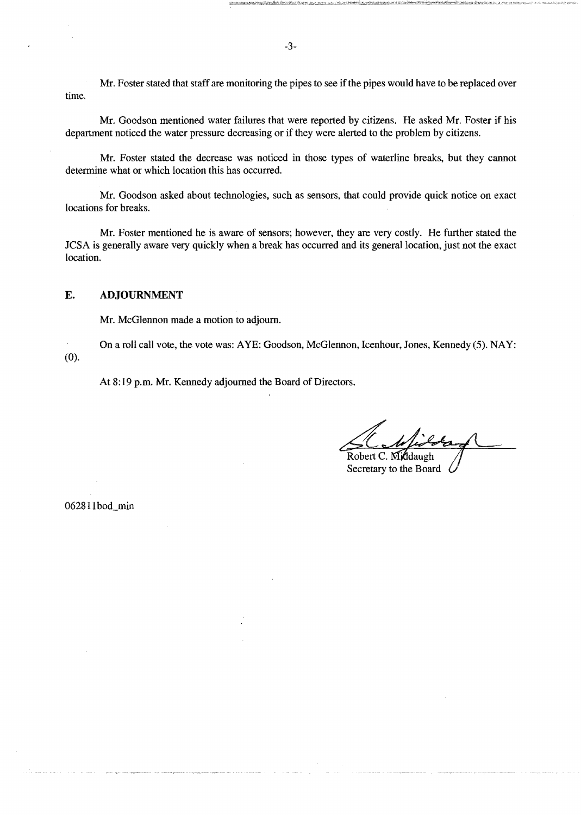Mr. Foster stated that staff are monitoring the pipes to see if the pipes would have to be replaced over time.

Mr. Goodson mentioned water failures that were reported by citizens. He asked Mr. Foster if his department noticed the water pressure decreasing or if they were alerted to the problem by citizens.

Mr. Foster stated the decrease was noticed in those types of waterline breaks, but they cannot determine what or which location this has occurred.

Mr. Goodson asked about technologies, such as sensors, that could provide quick notice on exact locations for breaks.

Mr. Foster mentioned he is aware of sensors; however, they are very costly. He further stated the JCSA is generally aware very quickly when a break has occurred and its general location, just not the exact location.

#### E. ADJOURNMENT

Mr. McGlennon made a motion to adjourn.

On a roll call vote, the vote was: AYE: Goodson, McGlennon, Icenhour, Jones, Kennedy (5). NAY: (0).

At 8:19 p.m. Mr. Kennedy adjourned the Board of Directors.

Robert C. Middaugh

Secretary to the Board

062811bod\_min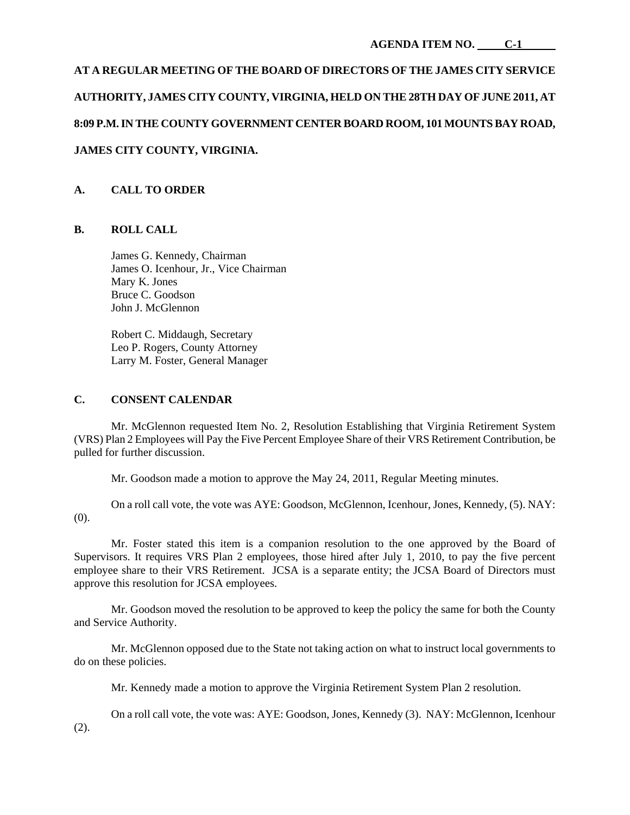# **AT A REGULAR MEETING OF THE BOARD OF DIRECTORS OF THE JAMES CITY SERVICE AUTHORITY, JAMES CITY COUNTY, VIRGINIA, HELD ON THE 28TH DAY OF JUNE 2011, AT 8:09 P.M. IN THE COUNTY GOVERNMENT CENTER BOARD ROOM, 101 MOUNTS BAY ROAD, JAMES CITY COUNTY, VIRGINIA.**

# **A. CALL TO ORDER**

# **B. ROLL CALL**

James G. Kennedy, Chairman James O. Icenhour, Jr., Vice Chairman Mary K. Jones Bruce C. Goodson John J. McGlennon

Robert C. Middaugh, Secretary Leo P. Rogers, County Attorney Larry M. Foster, General Manager

## **C. CONSENT CALENDAR**

 Mr. McGlennon requested Item No. 2, Resolution Establishing that Virginia Retirement System (VRS) Plan 2 Employees will Pay the Five Percent Employee Share of their VRS Retirement Contribution, be pulled for further discussion.

Mr. Goodson made a motion to approve the May 24, 2011, Regular Meeting minutes.

 On a roll call vote, the vote was AYE: Goodson, McGlennon, Icenhour, Jones, Kennedy, (5). NAY: (0).

 Mr. Foster stated this item is a companion resolution to the one approved by the Board of Supervisors. It requires VRS Plan 2 employees, those hired after July 1, 2010, to pay the five percent employee share to their VRS Retirement. JCSA is a separate entity; the JCSA Board of Directors must approve this resolution for JCSA employees.

 Mr. Goodson moved the resolution to be approved to keep the policy the same for both the County and Service Authority.

 Mr. McGlennon opposed due to the State not taking action on what to instruct local governments to do on these policies.

Mr. Kennedy made a motion to approve the Virginia Retirement System Plan 2 resolution.

 On a roll call vote, the vote was: AYE: Goodson, Jones, Kennedy (3). NAY: McGlennon, Icenhour (2).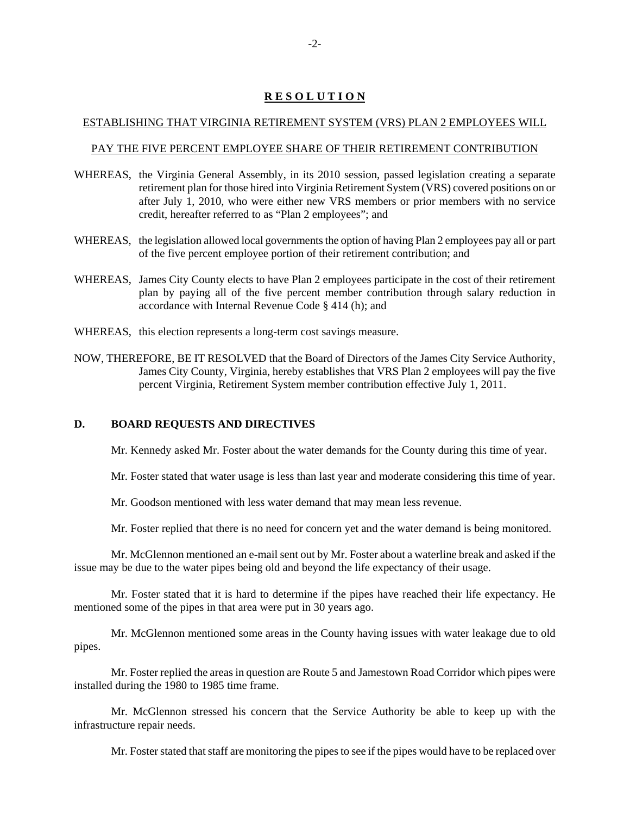# **R E S O L U T I O N**

#### ESTABLISHING THAT VIRGINIA RETIREMENT SYSTEM (VRS) PLAN 2 EMPLOYEES WILL

#### PAY THE FIVE PERCENT EMPLOYEE SHARE OF THEIR RETIREMENT CONTRIBUTION

- WHEREAS, the Virginia General Assembly, in its 2010 session, passed legislation creating a separate retirement plan for those hired into Virginia Retirement System (VRS) covered positions on or after July 1, 2010, who were either new VRS members or prior members with no service credit, hereafter referred to as "Plan 2 employees"; and
- WHEREAS, the legislation allowed local governments the option of having Plan 2 employees pay all or part of the five percent employee portion of their retirement contribution; and
- WHEREAS, James City County elects to have Plan 2 employees participate in the cost of their retirement plan by paying all of the five percent member contribution through salary reduction in accordance with Internal Revenue Code § 414 (h); and
- WHEREAS, this election represents a long-term cost savings measure.
- NOW, THEREFORE, BE IT RESOLVED that the Board of Directors of the James City Service Authority, James City County, Virginia, hereby establishes that VRS Plan 2 employees will pay the five percent Virginia, Retirement System member contribution effective July 1, 2011.

## **D. BOARD REQUESTS AND DIRECTIVES**

Mr. Kennedy asked Mr. Foster about the water demands for the County during this time of year.

Mr. Foster stated that water usage is less than last year and moderate considering this time of year.

Mr. Goodson mentioned with less water demand that may mean less revenue.

Mr. Foster replied that there is no need for concern yet and the water demand is being monitored.

 Mr. McGlennon mentioned an e-mail sent out by Mr. Foster about a waterline break and asked if the issue may be due to the water pipes being old and beyond the life expectancy of their usage.

 Mr. Foster stated that it is hard to determine if the pipes have reached their life expectancy. He mentioned some of the pipes in that area were put in 30 years ago.

 Mr. McGlennon mentioned some areas in the County having issues with water leakage due to old pipes.

 Mr. Foster replied the areas in question are Route 5 and Jamestown Road Corridor which pipes were installed during the 1980 to 1985 time frame.

 Mr. McGlennon stressed his concern that the Service Authority be able to keep up with the infrastructure repair needs.

Mr. Foster stated that staff are monitoring the pipes to see if the pipes would have to be replaced over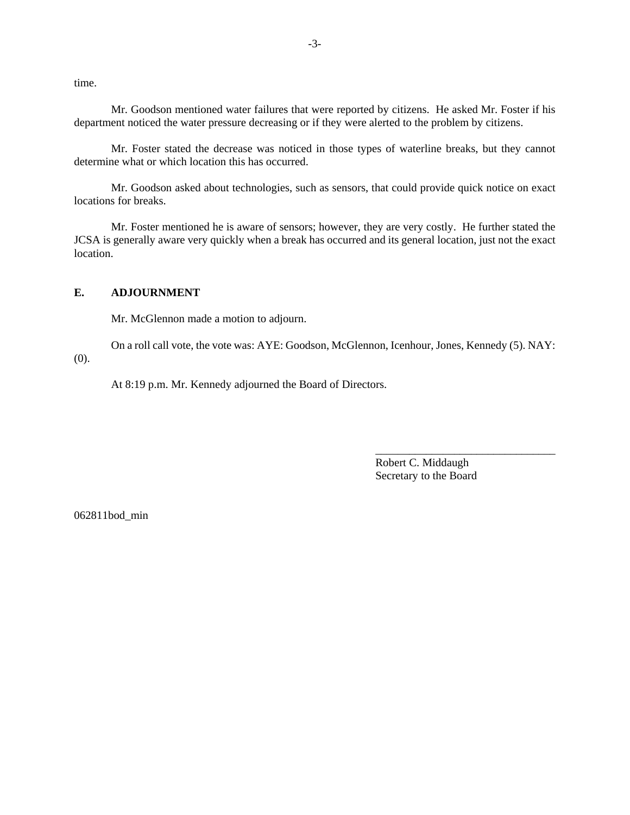time.

 Mr. Goodson mentioned water failures that were reported by citizens. He asked Mr. Foster if his department noticed the water pressure decreasing or if they were alerted to the problem by citizens.

 Mr. Foster stated the decrease was noticed in those types of waterline breaks, but they cannot determine what or which location this has occurred.

 Mr. Goodson asked about technologies, such as sensors, that could provide quick notice on exact locations for breaks.

 Mr. Foster mentioned he is aware of sensors; however, they are very costly. He further stated the JCSA is generally aware very quickly when a break has occurred and its general location, just not the exact location.

#### **E. ADJOURNMENT**

Mr. McGlennon made a motion to adjourn.

 On a roll call vote, the vote was: AYE: Goodson, McGlennon, Icenhour, Jones, Kennedy (5). NAY: (0).

At 8:19 p.m. Mr. Kennedy adjourned the Board of Directors.

Robert C. Middaugh Secretary to the Board

\_\_\_\_\_\_\_\_\_\_\_\_\_\_\_\_\_\_\_\_\_\_\_\_\_\_\_\_\_\_\_\_

062811bod\_min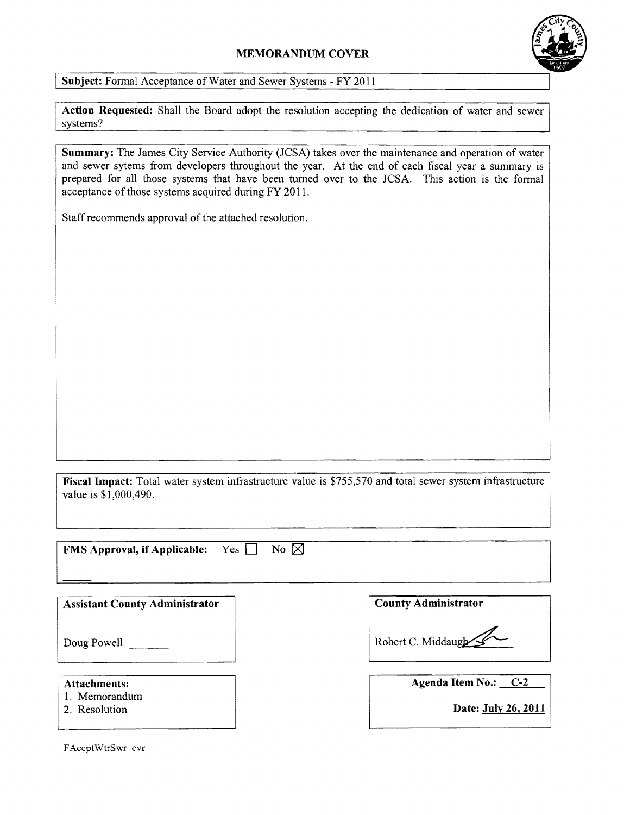# **MEMORANDUM COVER**



Subject: Formal Acceptance of Water and Sewer Systems - FY 2011

**Action Requested:** Shall the Board adopt the resolution accepting the dedication of water and sewer systems?

**Summary:** The James City Service Authority (JCSA) takes over the maintenance and operation of water and sewer sytems from developers throughout the year. At the end of each fiscal year a summary is prepared for all those systems that have been turned over to the JCSA. This action is the formal acceptance of those systems acquired during FY 2011.

Staff recommends approval of the attached resolution.

Fiscal Impact: Total water system infrastructure value is \$755,570 and total sewer system infrastructure value is \$1,000,490.

| No $\nabla$<br><b>FMS Approval, if Applicable:</b><br>Yes $\Box$ |                             |
|------------------------------------------------------------------|-----------------------------|
| <b>Assistant County Administrator</b>                            | <b>County Administrator</b> |
| Doug Powell                                                      | Robert C. Middaugh          |
|                                                                  | $ -$                        |

# **Attachments:**

- 1. Memorandum
- 2. Resolution

**Agenda Item No.: C-2** 

**Date: July 26, 2011** 

FAccptWtrSwr~cvr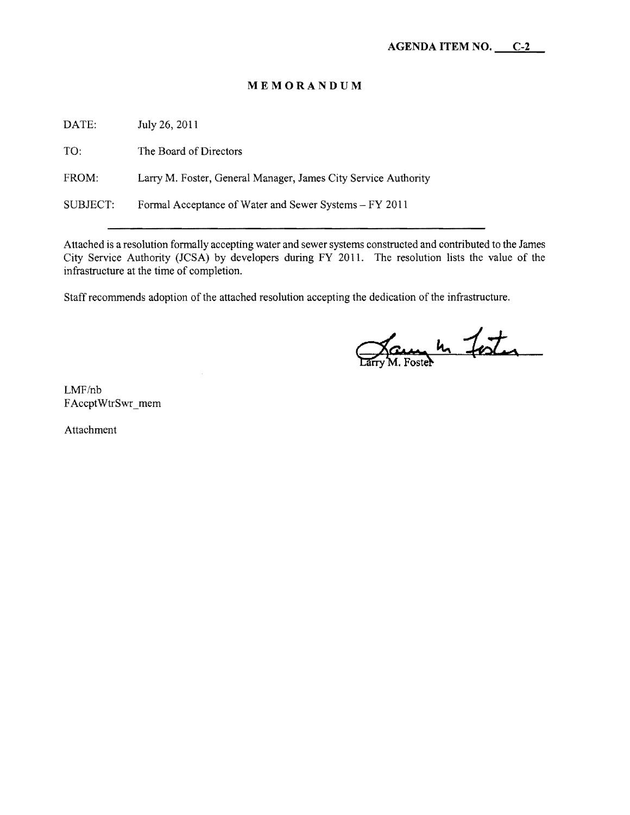# **MEMORANDUM**

DATE: July 26,2011

TO: The Board of Directors

FROM: Larry M. Foster, General Manager, James City Service Authority

SUBJECT: Formal Acceptance of Water and Sewer Systems - FY 2011

Attached is a resolution formally accepting water and sewer systems constructed and contributed to the James City Service Authority (JCSA) by developers during FY 2011. The resolution lists the value of the infrastructure at the time of completion.

Staff recommends adoption of the attached resolution accepting the dedication of the infrastructure.

Jaune 4 foster

LMF/nb FAccptWtrSwr\_mem

Attachment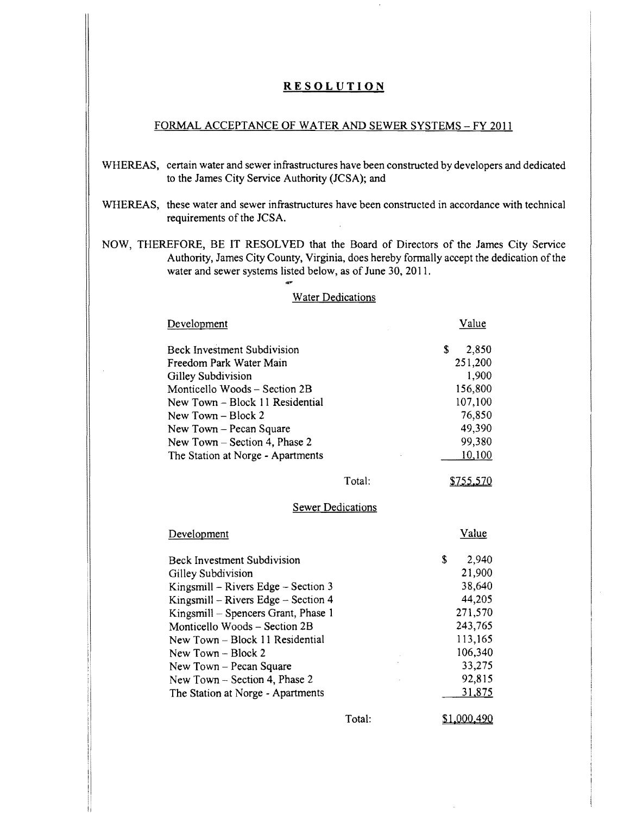## **RESOLUTION**

## FORMAL ACCEPTANCE OF WATER AND SEWER SYSTEMS - FY 2011

WHEREAS, certain water and sewer infrastructures have been constructed by developers and dedicated to the James City Service Authority (JCSA); and

## WHEREAS, these water and sewer infrastructures have been constructed in accordance with technical requirements of the JCSA.

NOW, THEREFORE, BE **IT** RESOLVED that the Board of Directors of the James City Service Authority, James City County, Virginia, does hereby formally accept the dedication of the water and sewer systems listed below, as of June 30, 2011.

#### Water Dedications

| Development                                                                |        | Value       |
|----------------------------------------------------------------------------|--------|-------------|
| <b>Beck Investment Subdivision</b>                                         |        | \$<br>2,850 |
| Freedom Park Water Main                                                    |        | 251,200     |
| Gilley Subdivision                                                         |        | 1,900       |
| Monticello Woods – Section 2B                                              |        | 156,800     |
| New Town - Block 11 Residential                                            |        | 107,100     |
| New Town $-$ Block 2                                                       |        | 76,850      |
| New Town - Pecan Square                                                    |        | 49,390      |
| New Town $-$ Section 4, Phase 2                                            |        | 99,380      |
| The Station at Norge - Apartments                                          |        | 10,100      |
|                                                                            | Total: | \$755,570   |
| <b>Sewer Dedications</b>                                                   |        |             |
|                                                                            |        |             |
| Development                                                                |        | Value       |
| <b>Beck Investment Subdivision</b>                                         |        | \$<br>2,940 |
| Gilley Subdivision                                                         |        | 21,900      |
| Kingsmill – Rivers Edge – Section $3$                                      |        | 38,640      |
|                                                                            |        | 44,205      |
| Kingsmill – Rivers Edge – Section 4<br>Kingsmill – Spencers Grant, Phase 1 |        | 271,570     |
| Monticello Woods - Section 2B                                              |        | 243,765     |
| New Town - Block 11 Residential                                            |        | 113,165     |
| New Town - Block 2                                                         |        | 106,340     |
| New Town – Pecan Square                                                    |        | 33,275      |
| New Town – Section 4, Phase 2                                              |        | 92,815      |
| The Station at Norge - Apartments                                          |        | 31,875      |